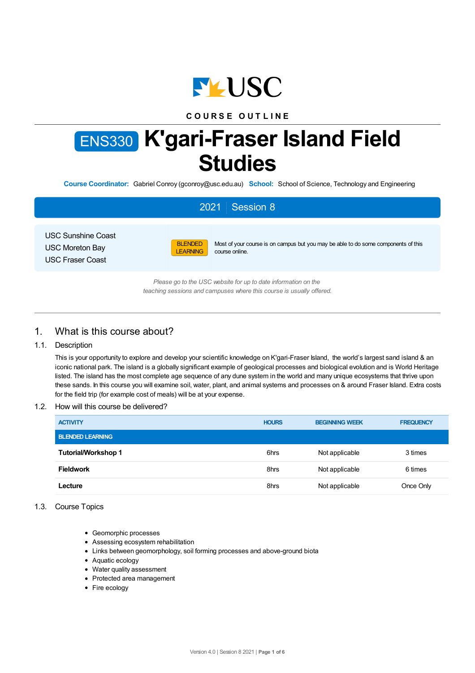

# **C O U R S E O U T L I N E**

# ENS330 **K'gari-Fraser Island Field Studies**

**Course Coordinator:** Gabriel Conroy (gconroy@usc.edu.au) **School:** School of Science, Technology and Engineering

# 2021 Session 8

USC Sunshine Coast USC Moreton Bay USC Fraser Coast



Most of your course is on campus but you may be able to do some components of this course online.

*Please go to the USC website for up to date information on the teaching sessions and campuses where this course is usually offered.*

# 1. What is this course about?

## 1.1. Description

This is your opportunity to explore and develop your scientific knowledge on K'gari-Fraser Island, the world's largest sand island & an iconic national park. The island is a globally significant example of geological processes and biological evolution and is World Heritage listed. The island has the most complete age sequence of any dune system in the world and many unique ecosystems that thrive upon these sands. In this course you will examine soil, water, plant, and animal systems and processes on & around Fraser Island. Extra costs for the field trip (for example cost of meals) will be at your expense.

## 1.2. How will this course be delivered?

| <b>ACTIVITY</b>            | <b>HOURS</b> | <b>BEGINNING WEEK</b> | <b>FREQUENCY</b> |
|----------------------------|--------------|-----------------------|------------------|
| <b>BLENDED LEARNING</b>    |              |                       |                  |
| <b>Tutorial/Workshop 1</b> | 6hrs         | Not applicable        | 3 times          |
| <b>Fieldwork</b>           | 8hrs         | Not applicable        | 6 times          |
| Lecture                    | 8hrs         | Not applicable        | Once Only        |

## 1.3. Course Topics

- Geomorphic processes
- Assessing ecosystem rehabilitation
- Links between geomorphology, soil forming processes and above-ground biota
- Aquatic ecology
- Water quality assessment
- Protected area management
- Fire ecology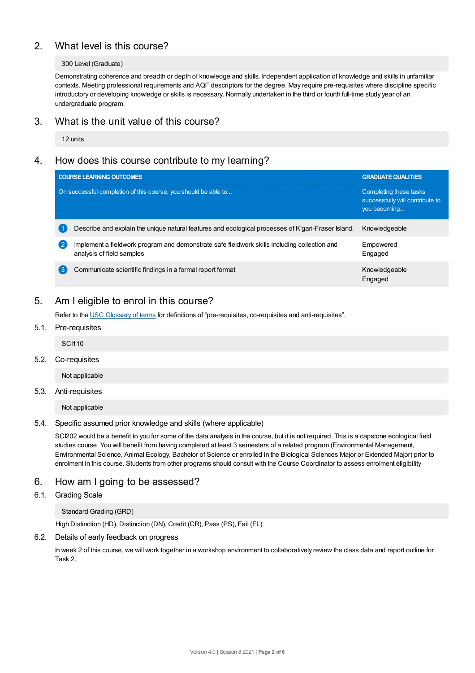# 2. What level is this course?

#### 300 Level (Graduate)

Demonstrating coherence and breadth or depth of knowledge and skills. Independent application of knowledge and skills in unfamiliar contexts. Meeting professional requirements and AQF descriptors for the degree. May require pre-requisites where discipline specific introductory or developing knowledge or skills is necessary. Normally undertaken in the third or fourth full-time study year of an undergraduate program.

# 3. What is the unit value of this course?

12 units

# 4. How does this course contribute to my learning?

| <b>COURSE LEARNING OUTCOMES</b>                                                                                                | <b>GRADUATE QUALITIES</b>                                                 |
|--------------------------------------------------------------------------------------------------------------------------------|---------------------------------------------------------------------------|
| On successful completion of this course, you should be able to                                                                 | Completing these tasks<br>successfully will contribute to<br>you becoming |
| Describe and explain the unique natural features and ecological processes of K'gari-Fraser Island.                             | Knowledgeable                                                             |
| Implement a fieldwork program and demonstrate safe fieldwork skills including collection and<br>2<br>analysis of field samples | Empowered<br>Engaged                                                      |
| (ვ<br>Communicate scientific findings in a formal report format                                                                | Knowledgeable<br>Engaged                                                  |

# 5. Am Ieligible to enrol in this course?

Refer to the USC [Glossary](https://www.usc.edu.au/about/policies-and-procedures/glossary-of-terms-for-policy-and-procedures) of terms for definitions of "pre-requisites, co-requisites and anti-requisites".

5.1. Pre-requisites

SCI110

5.2. Co-requisites

Not applicable

## 5.3. Anti-requisites

Not applicable

## 5.4. Specific assumed prior knowledge and skills (where applicable)

SCI202 would be a benefit to you for some of the data analysis in the course, but it is not required. This is a capstone ecological field studies course. You will benefit from having completed at least 3 semesters of a related program (Environmental Management, Environmental Science, Animal Ecology, Bachelor of Science or enrolled in the Biological Sciences Major or Extended Major) prior to enrolment in this course. Students from other programs should consult with the Course Coordinator to assess enrolment eligibility

# 6. How am Igoing to be assessed?

# 6.1. Grading Scale

Standard Grading (GRD)

High Distinction (HD), Distinction (DN), Credit (CR), Pass (PS), Fail (FL).

## 6.2. Details of early feedback on progress

In week 2 of this course, we will work together in a workshop environment to collaboratively review the class data and report outline for Task 2.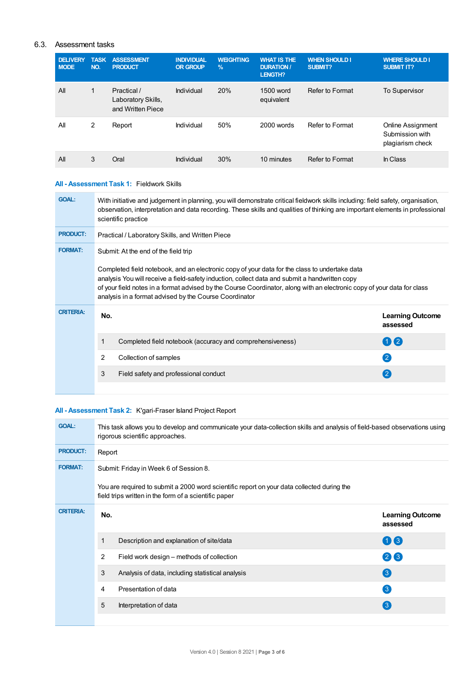# 6.3. Assessment tasks

| <b>DELIVERY</b><br><b>MODE</b> | <b>TASK</b><br>NO. | <b>ASSESSMENT</b><br><b>PRODUCT</b>                    | <b>INDIVIDUAL</b><br><b>OR GROUP</b> | <b>WEIGHTING</b><br>$\frac{9}{6}$ | <b>WHAT IS THE</b><br><b>DURATION /</b><br><b>LENGTH?</b> | <b>WHEN SHOULD I</b><br><b>SUBMIT?</b> | <b>WHERE SHOULD I</b><br><b>SUBMIT IT?</b>               |
|--------------------------------|--------------------|--------------------------------------------------------|--------------------------------------|-----------------------------------|-----------------------------------------------------------|----------------------------------------|----------------------------------------------------------|
| All                            | 1                  | Practical /<br>Laboratory Skills,<br>and Written Piece | Individual                           | 20%                               | 1500 word<br>equivalent                                   | Refer to Format                        | <b>To Supervisor</b>                                     |
| All                            | 2                  | Report                                                 | Individual                           | 50%                               | 2000 words                                                | Refer to Format                        | Online Assignment<br>Submission with<br>plagiarism check |
| All                            | 3                  | Oral                                                   | Individual                           | 30%                               | 10 minutes                                                | Refer to Format                        | In Class                                                 |

# **All - Assessment Task 1:** Fieldwork Skills

| <b>GOAL:</b>     | With initiative and judgement in planning, you will demonstrate critical fieldwork skills including: field safety, organisation,<br>observation, interpretation and data recording. These skills and qualities of thinking are important elements in professional<br>scientific practice                                                                                                                                     |                                                                                          |
|------------------|------------------------------------------------------------------------------------------------------------------------------------------------------------------------------------------------------------------------------------------------------------------------------------------------------------------------------------------------------------------------------------------------------------------------------|------------------------------------------------------------------------------------------|
| <b>PRODUCT:</b>  | Practical / Laboratory Skills, and Written Piece                                                                                                                                                                                                                                                                                                                                                                             |                                                                                          |
| <b>FORMAT:</b>   | Submit: At the end of the field trip<br>Completed field notebook, and an electronic copy of your data for the class to undertake data<br>analysis You will receive a field-safety induction, collect data and submit a handwritten copy<br>of your field notes in a format advised by the Course Coordinator, along with an electronic copy of your data for class<br>analysis in a format advised by the Course Coordinator |                                                                                          |
| <b>CRITERIA:</b> | No.<br>Completed field notebook (accuracy and comprehensiveness)<br>2<br>Collection of samples<br>3<br>Field safety and professional conduct                                                                                                                                                                                                                                                                                 | <b>Learning Outcome</b><br>assessed<br>1) (2)<br>$\left( 2 \right)$<br>$\left( 2\right)$ |
|                  |                                                                                                                                                                                                                                                                                                                                                                                                                              |                                                                                          |

# **All - Assessment Task 2:** K'gari-Fraser Island Project Report

| <b>GOAL:</b>     |        | This task allows you to develop and communicate your data-collection skills and analysis of field-based observations using<br>rigorous scientific approaches. |                                     |
|------------------|--------|---------------------------------------------------------------------------------------------------------------------------------------------------------------|-------------------------------------|
| <b>PRODUCT:</b>  | Report |                                                                                                                                                               |                                     |
| <b>FORMAT:</b>   |        | Submit: Friday in Week 6 of Session 8.                                                                                                                        |                                     |
|                  |        | You are required to submit a 2000 word scientific report on your data collected during the<br>field trips written in the form of a scientific paper           |                                     |
| <b>CRITERIA:</b> | No.    |                                                                                                                                                               | <b>Learning Outcome</b><br>assessed |
|                  | 1      | Description and explanation of site/data                                                                                                                      | $\mathbf{0}$ $\mathbf{6}$           |
|                  | 2      | Field work design – methods of collection                                                                                                                     | 26                                  |
|                  | 3      | Analysis of data, including statistical analysis                                                                                                              | 3                                   |
|                  | 4      | Presentation of data                                                                                                                                          | $\left( 3\right)$                   |
|                  | 5      | Interpretation of data                                                                                                                                        | $\left( 3\right)$                   |
|                  |        |                                                                                                                                                               |                                     |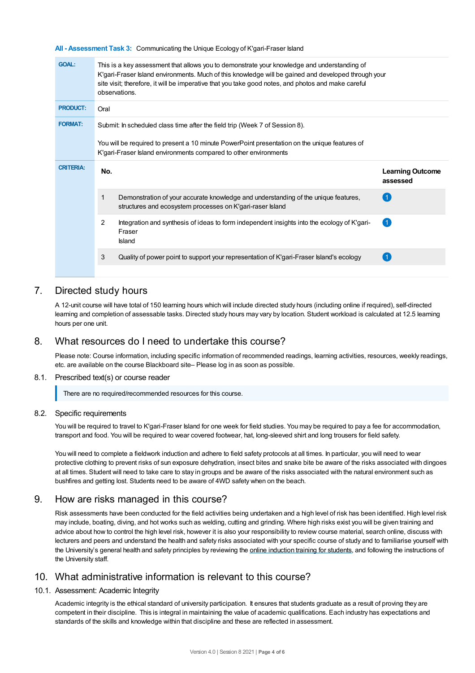**All - Assessment Task 3:** Communicating the Unique Ecology of K'gari-Fraser Island

| <b>GOAL:</b>     | This is a key assessment that allows you to demonstrate your knowledge and understanding of<br>K'gari-Fraser Island environments. Much of this knowledge will be gained and developed through your<br>site visit; therefore, it will be imperative that you take good notes, and photos and make careful<br>observations. |                                     |
|------------------|---------------------------------------------------------------------------------------------------------------------------------------------------------------------------------------------------------------------------------------------------------------------------------------------------------------------------|-------------------------------------|
| <b>PRODUCT:</b>  | Oral                                                                                                                                                                                                                                                                                                                      |                                     |
| <b>FORMAT:</b>   | Submit: In scheduled class time after the field trip (Week 7 of Session 8).                                                                                                                                                                                                                                               |                                     |
|                  | You will be required to present a 10 minute PowerPoint presentation on the unique features of<br>K'gari-Fraser Island environments compared to other environments                                                                                                                                                         |                                     |
| <b>CRITERIA:</b> |                                                                                                                                                                                                                                                                                                                           |                                     |
|                  | No.                                                                                                                                                                                                                                                                                                                       | <b>Learning Outcome</b><br>assessed |
|                  | 1<br>Demonstration of your accurate knowledge and understanding of the unique features,<br>structures and ecosystem processes on K'gari-raser Island                                                                                                                                                                      |                                     |
|                  | 2<br>Integration and synthesis of ideas to form independent insights into the ecology of K'gari-<br>Fraser<br><b>Island</b>                                                                                                                                                                                               |                                     |
|                  | 3<br>Quality of power point to support your representation of K'gari-Fraser Island's ecology                                                                                                                                                                                                                              |                                     |

# 7. Directed study hours

A 12-unit course will have total of 150 learning hours which will include directed study hours (including online if required), self-directed learning and completion of assessable tasks. Directed study hours may vary by location. Student workload is calculated at 12.5 learning hours per one unit.

# 8. What resources do I need to undertake this course?

Please note: Course information, including specific information of recommended readings, learning activities, resources, weekly readings, etc. are available on the course Blackboard site– Please log in as soon as possible.

8.1. Prescribed text(s) or course reader

There are no required/recommended resources for this course.

#### 8.2. Specific requirements

You will be required to travel to K'gari-Fraser Island for one week for field studies. You may be required to pay a fee for accommodation, transport and food. You will be required to wear covered footwear, hat, long-sleeved shirt and long trousers for field safety.

You will need to complete a fieldwork induction and adhere to field safety protocols at all times. In particular, you will need to wear protective clothing to prevent risks of sun exposure dehydration, insect bites and snake bite be aware of the risks associated with dingoes at all times. Student will need to take care to stay in groups and be aware of the risks associated with the natural environment such as bushfires and getting lost. Students need to be aware of 4WD safety when on the beach.

# 9. How are risks managed in this course?

Risk assessments have been conducted for the field activities being undertaken and a high level of risk has been identified. High level risk may include, boating, diving, and hot works such as welding, cutting and grinding. Where high risks exist you will be given training and advice about how to control the high level risk, however it is also your responsibility to review course material, search online, discuss with lecturers and peers and understand the health and safety risks associated with your specific course of study and to familiarise yourself with the University's general health and safety principles by reviewing the online [induction](https://online.usc.edu.au/webapps/blackboard/content/listContentEditable.jsp?content_id=_632657_1&course_id=_14432_1) training for students, and following the instructions of the University staff.

# 10. What administrative information is relevant to this course?

#### 10.1. Assessment: Academic Integrity

Academic integrity is the ethical standard of university participation. It ensures that students graduate as a result of proving they are competent in their discipline. This is integral in maintaining the value of academic qualifications. Each industry has expectations and standards of the skills and knowledge within that discipline and these are reflected in assessment.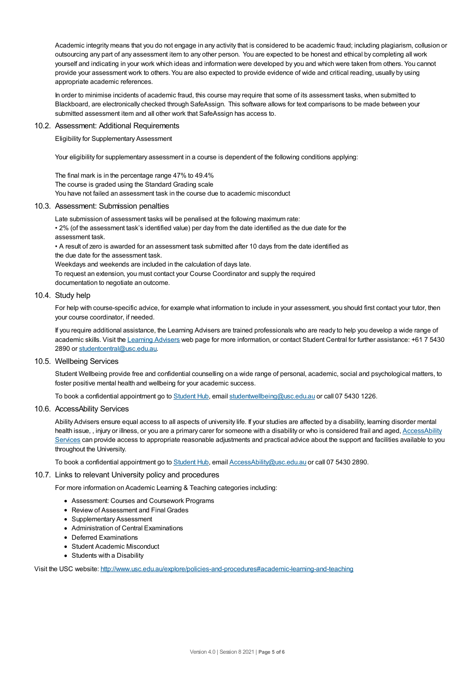Academic integrity means that you do not engage in any activity that is considered to be academic fraud; including plagiarism, collusion or outsourcing any part of any assessment item to any other person. You are expected to be honest and ethical by completing all work yourself and indicating in your work which ideas and information were developed by you and which were taken from others. You cannot provide your assessment work to others.You are also expected to provide evidence of wide and critical reading, usually by using appropriate academic references.

In order to minimise incidents of academic fraud, this course may require that some of its assessment tasks, when submitted to Blackboard, are electronically checked through SafeAssign. This software allows for text comparisons to be made between your submitted assessment item and all other work that SafeAssign has access to.

#### 10.2. Assessment: Additional Requirements

Eligibility for Supplementary Assessment

Your eligibility for supplementary assessment in a course is dependent of the following conditions applying:

The final mark is in the percentage range 47% to 49.4%

The course is graded using the Standard Grading scale

You have not failed an assessment task in the course due to academic misconduct

#### 10.3. Assessment: Submission penalties

Late submission of assessment tasks will be penalised at the following maximum rate:

• 2% (of the assessment task's identified value) per day from the date identified as the due date for the assessment task.

• A result of zero is awarded for an assessment task submitted after 10 days from the date identified as the due date for the assessment task.

Weekdays and weekends are included in the calculation of days late.

To request an extension, you must contact your Course Coordinator and supply the required

documentation to negotiate an outcome.

### 10.4. Study help

For help with course-specific advice, for example what information to include in your assessment, you should first contact your tutor, then your course coordinator, if needed.

If you require additional assistance, the Learning Advisers are trained professionals who are ready to help you develop a wide range of academic skills. Visit the Learning [Advisers](https://www.usc.edu.au/current-students/student-support/academic-and-study-support/learning-advisers) web page for more information, or contact Student Central for further assistance: +61 7 5430 2890 or [studentcentral@usc.edu.au](mailto:studentcentral@usc.edu.au).

#### 10.5. Wellbeing Services

Student Wellbeing provide free and confidential counselling on a wide range of personal, academic, social and psychological matters, to foster positive mental health and wellbeing for your academic success.

To book a confidential appointment go to [Student](https://studenthub.usc.edu.au/) Hub, email [studentwellbeing@usc.edu.au](mailto:studentwellbeing@usc.edu.au) or call 07 5430 1226.

#### 10.6. AccessAbility Services

Ability Advisers ensure equal access to all aspects of university life. If your studies are affected by a disability, learning disorder mental health issue, , injury or illness, or you are a primary carer for someone with a disability or who is considered frail and aged, [AccessAbility](https://www.usc.edu.au/learn/student-support/accessability-services/documentation-requirements) Services can provide access to appropriate reasonable adjustments and practical advice about the support and facilities available to you throughout the University.

To book a confidential appointment go to [Student](https://studenthub.usc.edu.au/) Hub, email [AccessAbility@usc.edu.au](mailto:AccessAbility@usc.edu.au) or call 07 5430 2890.

#### 10.7. Links to relevant University policy and procedures

For more information on Academic Learning & Teaching categories including:

- Assessment: Courses and Coursework Programs
- Review of Assessment and Final Grades
- Supplementary Assessment
- Administration of Central Examinations
- Deferred Examinations
- Student Academic Misconduct
- Students with a Disability

Visit the USC website: <http://www.usc.edu.au/explore/policies-and-procedures#academic-learning-and-teaching>